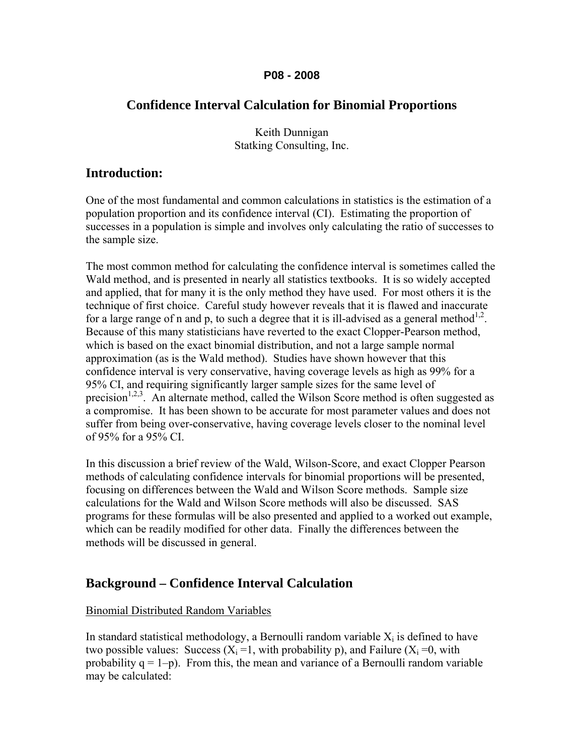### **P08 - 2008**

### **Confidence Interval Calculation for Binomial Proportions**

Keith Dunnigan Statking Consulting, Inc.

### **Introduction:**

One of the most fundamental and common calculations in statistics is the estimation of a population proportion and its confidence interval (CI). Estimating the proportion of successes in a population is simple and involves only calculating the ratio of successes to the sample size.

The most common method for calculating the confidence interval is sometimes called the Wald method, and is presented in nearly all statistics textbooks. It is so widely accepted and applied, that for many it is the only method they have used. For most others it is the technique of first choice. Careful study however reveals that it is flawed and inaccurate for a large range of n and p, to such a degree that it is ill-advised as a general method<sup>1,2</sup>. Because of this many statisticians have reverted to the exact Clopper-Pearson method, which is based on the exact binomial distribution, and not a large sample normal approximation (as is the Wald method). Studies have shown however that this confidence interval is very conservative, having coverage levels as high as 99% for a 95% CI, and requiring significantly larger sample sizes for the same level of precision<sup>1,2,3</sup>. An alternate method, called the Wilson Score method is often suggested as a compromise. It has been shown to be accurate for most parameter values and does not suffer from being over-conservative, having coverage levels closer to the nominal level of 95% for a 95% CI.

In this discussion a brief review of the Wald, Wilson-Score, and exact Clopper Pearson methods of calculating confidence intervals for binomial proportions will be presented, focusing on differences between the Wald and Wilson Score methods. Sample size calculations for the Wald and Wilson Score methods will also be discussed. SAS programs for these formulas will be also presented and applied to a worked out example, which can be readily modified for other data. Finally the differences between the methods will be discussed in general.

## **Background – Confidence Interval Calculation**

### Binomial Distributed Random Variables

In standard statistical methodology, a Bernoulli random variable  $X_i$  is defined to have two possible values: Success  $(X_i = 1$ , with probability p), and Failure  $(X_i = 0$ , with probability  $q = 1-p$ ). From this, the mean and variance of a Bernoulli random variable may be calculated: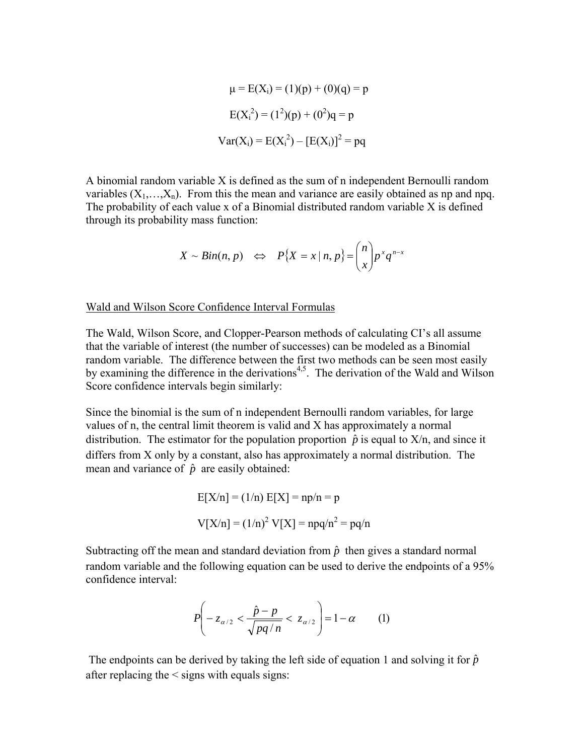$$
\mu = E(X_i) = (1)(p) + (0)(q) = p
$$
  
\n
$$
E(X_i^2) = (1^2)(p) + (0^2)q = p
$$
  
\n
$$
Var(X_i) = E(X_i^2) - [E(X_i)]^2 = pq
$$

A binomial random variable X is defined as the sum of n independent Bernoulli random variables  $(X_1,...,X_n)$ . From this the mean and variance are easily obtained as np and npq. The probability of each value x of a Binomial distributed random variable X is defined through its probability mass function:

$$
X \sim Bin(n, p) \iff P\{X = x \mid n, p\} = \binom{n}{x} p^x q^{n-x}
$$

#### Wald and Wilson Score Confidence Interval Formulas

The Wald, Wilson Score, and Clopper-Pearson methods of calculating CI's all assume that the variable of interest (the number of successes) can be modeled as a Binomial random variable. The difference between the first two methods can be seen most easily by examining the difference in the derivations<sup>4,5</sup>. The derivation of the Wald and Wilson Score confidence intervals begin similarly:

Since the binomial is the sum of n independent Bernoulli random variables, for large values of n, the central limit theorem is valid and X has approximately a normal distribution. The estimator for the population proportion  $\hat{p}$  is equal to  $X/n$ , and since it differs from X only by a constant, also has approximately a normal distribution. The mean and variance of  $\hat{p}$  are easily obtained:

$$
E[X/n] = (1/n) E[X] = np/n = p
$$
  
 
$$
V[X/n] = (1/n)^{2} V[X] = npq/n^{2} = pq/n
$$

Subtracting off the mean and standard deviation from  $\hat{p}$  then gives a standard normal random variable and the following equation can be used to derive the endpoints of a 95% confidence interval:

$$
P\left(-z_{\alpha/2} < \frac{\hat{p}-p}{\sqrt{pq/n}} < z_{\alpha/2}\right) = 1-\alpha \tag{1}
$$

The endpoints can be derived by taking the left side of equation 1 and solving it for  $\hat{p}$ after replacing the < signs with equals signs: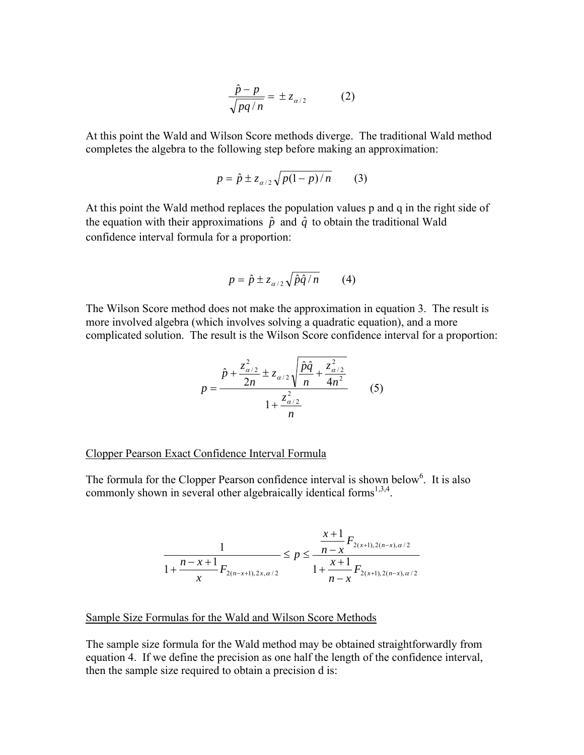$$
\frac{\hat{p} - p}{\sqrt{pq/n}} = \pm z_{\alpha/2} \tag{2}
$$

At this point the Wald and Wilson Score methods diverge. The traditional Wald method completes the algebra to the following step before making an approximation:

$$
p = \hat{p} \pm z_{\alpha/2} \sqrt{p(1-p)/n} \qquad (3)
$$

At this point the Wald method replaces the population values p and q in the right side of the equation with their approximations  $\hat{p}$  and  $\hat{q}$  to obtain the traditional Wald confidence interval formula for a proportion:

$$
p = \hat{p} \pm z_{\alpha/2} \sqrt{\hat{p}\hat{q}/n} \qquad (4)
$$

The Wilson Score method does not make the approximation in equation 3. The result is more involved algebra (which involves solving a quadratic equation), and a more complicated solution. The result is the Wilson Score confidence interval for a proportion:

$$
p = \frac{\hat{p} + \frac{z_{\alpha/2}^2}{2n} \pm z_{\alpha/2} \sqrt{\frac{\hat{p}\hat{q}}{n} + \frac{z_{\alpha/2}^2}{4n^2}}}{1 + \frac{z_{\alpha/2}^2}{n}}
$$
(5)

Clopper Pearson Exact Confidence Interval Formula

The formula for the Clopper Pearson confidence interval is shown below<sup>6</sup>. It is also commonly shown in several other algebraically identical forms<sup>1,3,4</sup>.

$$
\frac{1}{1 + \frac{n - x + 1}{x} F_{2(n-x+1), 2x, \alpha/2}} \le p \le \frac{\frac{x+1}{n-x} F_{2(x+1), 2(n-x), \alpha/2}}{1 + \frac{x+1}{n-x} F_{2(x+1), 2(n-x), \alpha/2}}
$$

#### Sample Size Formulas for the Wald and Wilson Score Methods

The sample size formula for the Wald method may be obtained straightforwardly from equation 4. If we define the precision as one half the length of the confidence interval, then the sample size required to obtain a precision d is: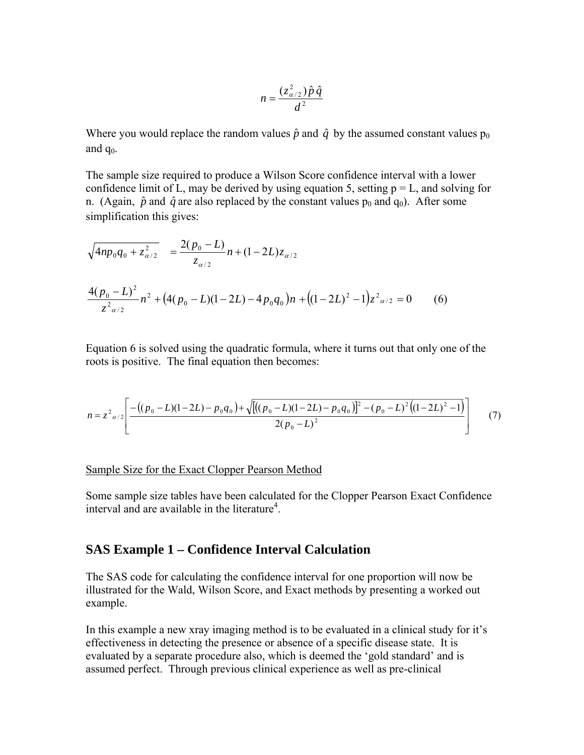$$
n = \frac{(z_{\alpha/2}^2)\hat{p}\,\hat{q}}{d^2}
$$

Where you would replace the random values  $\hat{p}$  and  $\hat{q}$  by the assumed constant values  $p_0$ and  $q_0$ .

The sample size required to produce a Wilson Score confidence interval with a lower confidence limit of L, may be derived by using equation 5, setting  $p = L$ , and solving for n. (Again,  $\hat{p}$  and  $\hat{q}$  are also replaced by the constant values  $p_0$  and  $q_0$ ). After some simplification this gives:

$$
\sqrt{4np_0q_0 + z_{\alpha/2}^2} = \frac{2(p_0 - L)}{z_{\alpha/2}} n + (1 - 2L)z_{\alpha/2}
$$
  

$$
\frac{4(p_0 - L)^2}{z_{\alpha/2}^2} n^2 + (4(p_0 - L)(1 - 2L) - 4p_0q_0)n + ((1 - 2L)^2 - 1)z_{\alpha/2}^2 = 0
$$
 (6)

Equation 6 is solved using the quadratic formula, where it turns out that only one of the roots is positive. The final equation then becomes:

$$
n = z2_{\alpha/2} \left[ \frac{-((p_0 - L)(1 - 2L) - p_0 q_0) + \sqrt{[((p_0 - L)(1 - 2L) - p_0 q_0)]^2 - (p_0 - L)^2 ((1 - 2L)^2 - 1)}}{2(p_0 - L)^2} \right]
$$
(7)

### Sample Size for the Exact Clopper Pearson Method

Some sample size tables have been calculated for the Clopper Pearson Exact Confidence interval and are available in the literature<sup>4</sup>.

### **SAS Example 1 – Confidence Interval Calculation**

The SAS code for calculating the confidence interval for one proportion will now be illustrated for the Wald, Wilson Score, and Exact methods by presenting a worked out example.

In this example a new xray imaging method is to be evaluated in a clinical study for it's effectiveness in detecting the presence or absence of a specific disease state. It is evaluated by a separate procedure also, which is deemed the 'gold standard' and is assumed perfect. Through previous clinical experience as well as pre-clinical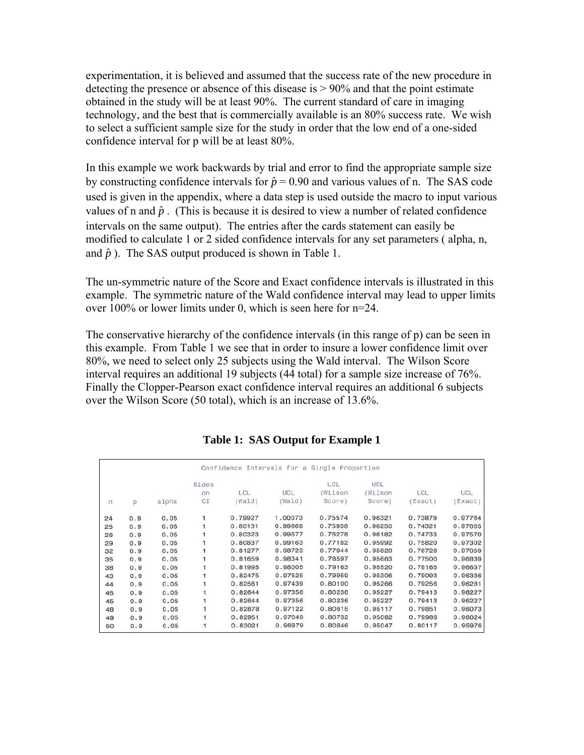experimentation, it is believed and assumed that the success rate of the new procedure in detecting the presence or absence of this disease is > 90% and that the point estimate obtained in the study will be at least 90%. The current standard of care in imaging technology, and the best that is commercially available is an 80% success rate. We wish to select a sufficient sample size for the study in order that the low end of a one-sided confidence interval for p will be at least 80%.

In this example we work backwards by trial and error to find the appropriate sample size by constructing confidence intervals for  $\hat{p} = 0.90$  and various values of n. The SAS code used is given in the appendix, where a data step is used outside the macro to input various values of n and  $\hat{p}$ . (This is because it is desired to view a number of related confidence intervals on the same output). The entries after the cards statement can easily be modified to calculate 1 or 2 sided confidence intervals for any set parameters ( alpha, n, and  $\hat{p}$ ). The SAS output produced is shown in Table 1.

The un-symmetric nature of the Score and Exact confidence intervals is illustrated in this example. The symmetric nature of the Wald confidence interval may lead to upper limits over 100% or lower limits under 0, which is seen here for n=24.

The conservative hierarchy of the confidence intervals (in this range of p) can be seen in this example. From Table 1 we see that in order to insure a lower confidence limit over 80%, we need to select only 25 subjects using the Wald interval. The Wilson Score interval requires an additional 19 subjects (44 total) for a sample size increase of 76%. Finally the Clopper-Pearson exact confidence interval requires an additional 6 subjects over the Wilson Score (50 total), which is an increase of 13.6%.

|              |     |       |       | Confidence Intervals for a Single Proportion |            |         |         |         |         |
|--------------|-----|-------|-------|----------------------------------------------|------------|---------|---------|---------|---------|
|              |     |       | Sides |                                              |            | LCL     | UCL     |         |         |
|              |     |       | on    | LCL                                          | <b>UCL</b> | (Wilson | (Wilson | LCL     | UCL     |
| $\mathsf{L}$ | p   | alpha | CI    | (Wald)                                       | (Wald)     | Score)  | Score)  | Exact)  | Exact)  |
| 24           | 0.9 | 0.05  |       | 0.79927                                      | 1.00073    | 0.75574 | 0.96321 | 0.73879 | 0.97764 |
| 25           | 0.9 | 0.05  |       | 0.80131                                      | 0.99869    | 0.75938 | 0.96250 | 0.74321 | 0.97665 |
| 26           | 0.9 | 0.05  |       | 0.80323                                      | 0.99677    | 0.76278 | 0.96182 | 0.74733 | 0.97570 |
| 29           | 0.9 | 0.05  |       | 0.80837                                      | 0.99163    | 0.77182 | 0.95992 | 0.75820 | 0.97302 |
| 32           | 0.9 | 0.05  |       | 0.81277                                      | 0.98723    | 0.77944 | 0.95820 | 0.76728 | 0.97059 |
| 35           | 0.9 | 0.05  |       | 0.81659                                      | 0.98341    | 0.78597 | 0.95663 | 0.77500 | 0.96839 |
| 38           | 0.9 | 0.05  |       | 0.81995                                      | 0.98005    | 0.79163 | 0.95520 | 0.78165 | 0.96637 |
| 43           | 0.9 | 0.05  |       | 0.82475                                      | 0.97525    | 0.79959 | 0.95306 | 0.79093 | 0.96336 |
| 44           | 0.9 | 0.05  |       | 0.82561                                      | 0.97439    | 0.80100 | 0.95266 | 0.79256 | 0.96281 |
| 45           | 0.9 | 0.05  |       | 0.82644                                      | 0.97356    | 0.80236 | 0.95227 | 0.79413 | 0.96227 |
| 45           | 0.9 | 0.05  |       | 0.82644                                      | 0.97356    | 0.80236 | 0.95227 | 0.79413 | 0.96227 |
| 48           | 0.9 | 0.05  |       | 0.82878                                      | 0.97122    | 0.80615 | 0.95117 | 0.79851 | 0.96073 |
| 49           | 0.9 | 0.05  |       | 0.82951                                      | 0.97049    | 0.80732 | 0.95082 | 0.79986 | 0.96024 |
| 50           | 0.9 | 0.05  |       | 0.83021                                      | 0.96979    | 0.80846 | 0.95047 | 0.80117 | 0.95976 |

### **Table 1: SAS Output for Example 1**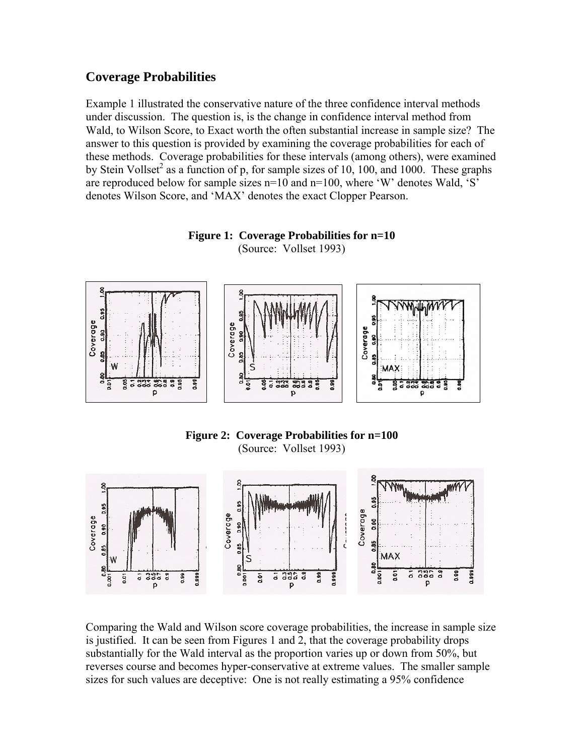## **Coverage Probabilities**

Example 1 illustrated the conservative nature of the three confidence interval methods under discussion. The question is, is the change in confidence interval method from Wald, to Wilson Score, to Exact worth the often substantial increase in sample size? The answer to this question is provided by examining the coverage probabilities for each of these methods. Coverage probabilities for these intervals (among others), were examined by Stein Vollset<sup>2</sup> as a function of p, for sample sizes of 10, 100, and 1000. These graphs are reproduced below for sample sizes  $n=10$  and  $n=100$ , where 'W' denotes Wald, 'S' denotes Wilson Score, and 'MAX' denotes the exact Clopper Pearson.





**Figure 2: Coverage Probabilities for n=100**  (Source: Vollset 1993)



Comparing the Wald and Wilson score coverage probabilities, the increase in sample size is justified. It can be seen from Figures 1 and 2, that the coverage probability drops substantially for the Wald interval as the proportion varies up or down from 50%, but reverses course and becomes hyper-conservative at extreme values. The smaller sample sizes for such values are deceptive: One is not really estimating a 95% confidence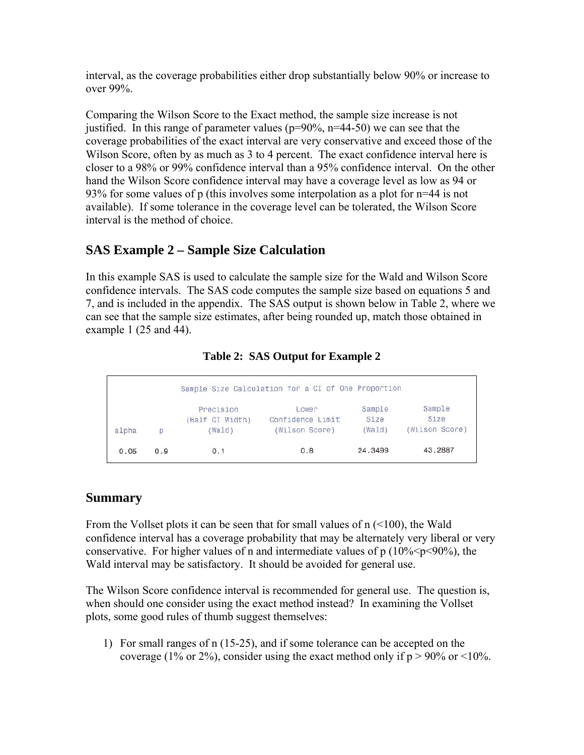interval, as the coverage probabilities either drop substantially below 90% or increase to over 99%.

Comparing the Wilson Score to the Exact method, the sample size increase is not justified. In this range of parameter values ( $p=90\%$ ,  $n=44-50$ ) we can see that the coverage probabilities of the exact interval are very conservative and exceed those of the Wilson Score, often by as much as 3 to 4 percent. The exact confidence interval here is closer to a 98% or 99% confidence interval than a 95% confidence interval. On the other hand the Wilson Score confidence interval may have a coverage level as low as 94 or 93% for some values of p (this involves some interpolation as a plot for n=44 is not available). If some tolerance in the coverage level can be tolerated, the Wilson Score interval is the method of choice.

# **SAS Example 2 – Sample Size Calculation**

In this example SAS is used to calculate the sample size for the Wald and Wilson Score confidence intervals. The SAS code computes the sample size based on equations 5 and 7, and is included in the appendix. The SAS output is shown below in Table 2, where we can see that the sample size estimates, after being rounded up, match those obtained in example 1 (25 and 44).

## **Table 2: SAS Output for Example 2**

| Sample Size Calculation for a CI of One Proportion |     |                              |                           |                |                |  |  |  |  |
|----------------------------------------------------|-----|------------------------------|---------------------------|----------------|----------------|--|--|--|--|
|                                                    |     | Precision<br>(Half CI Width) | Lower<br>Confidence Limit | Sample<br>Size | Sample<br>Size |  |  |  |  |
| alpha                                              | D   | (Wa1d)                       | (Wilson Score)            | (Wa1d)         | (Wilson Score) |  |  |  |  |
| 0.05                                               | 0.9 | 0.1                          | 0.8                       | 24.3499        | 43.2887        |  |  |  |  |

# **Summary**

From the Vollset plots it can be seen that for small values of n  $($ <100), the Wald confidence interval has a coverage probability that may be alternately very liberal or very conservative. For higher values of n and intermediate values of  $p(10\% < p < 90\%)$ , the Wald interval may be satisfactory. It should be avoided for general use.

The Wilson Score confidence interval is recommended for general use. The question is, when should one consider using the exact method instead? In examining the Vollset plots, some good rules of thumb suggest themselves:

1) For small ranges of n (15-25), and if some tolerance can be accepted on the coverage (1% or 2%), consider using the exact method only if  $p > 90\%$  or  $\leq 10\%$ .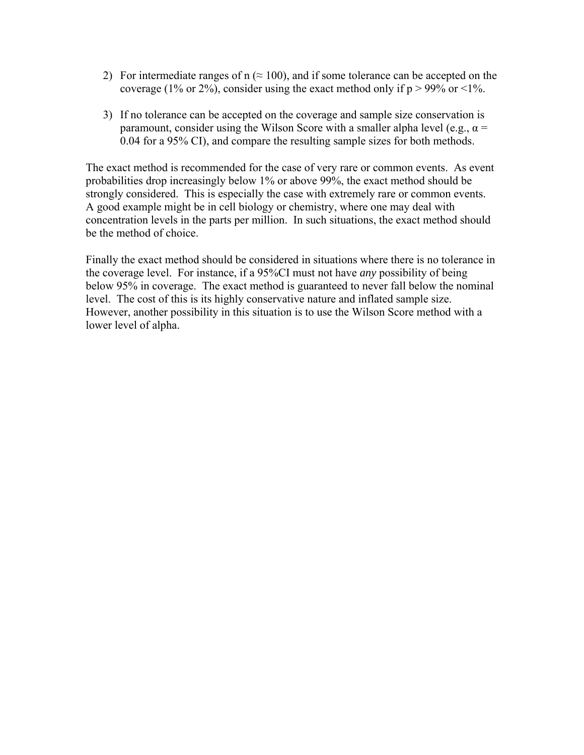- 2) For intermediate ranges of  $n \approx 100$ , and if some tolerance can be accepted on the coverage (1% or 2%), consider using the exact method only if  $p > 99\%$  or <1%.
- 3) If no tolerance can be accepted on the coverage and sample size conservation is paramount, consider using the Wilson Score with a smaller alpha level (e.g.,  $\alpha$  = 0.04 for a 95% CI), and compare the resulting sample sizes for both methods.

The exact method is recommended for the case of very rare or common events. As event probabilities drop increasingly below 1% or above 99%, the exact method should be strongly considered. This is especially the case with extremely rare or common events. A good example might be in cell biology or chemistry, where one may deal with concentration levels in the parts per million. In such situations, the exact method should be the method of choice.

Finally the exact method should be considered in situations where there is no tolerance in the coverage level. For instance, if a 95%CI must not have *any* possibility of being below 95% in coverage. The exact method is guaranteed to never fall below the nominal level. The cost of this is its highly conservative nature and inflated sample size. However, another possibility in this situation is to use the Wilson Score method with a lower level of alpha.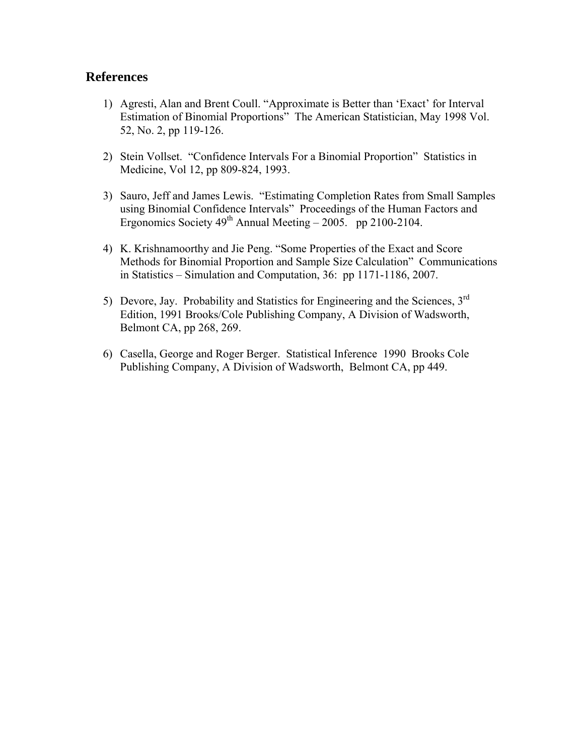### **References**

- 1) Agresti, Alan and Brent Coull. "Approximate is Better than 'Exact' for Interval Estimation of Binomial Proportions" The American Statistician, May 1998 Vol. 52, No. 2, pp 119-126.
- 2) Stein Vollset. "Confidence Intervals For a Binomial Proportion" Statistics in Medicine, Vol 12, pp 809-824, 1993.
- 3) Sauro, Jeff and James Lewis. "Estimating Completion Rates from Small Samples using Binomial Confidence Intervals" Proceedings of the Human Factors and Ergonomics Society  $49^{th}$  Annual Meeting – 2005. pp 2100-2104.
- 4) K. Krishnamoorthy and Jie Peng. "Some Properties of the Exact and Score Methods for Binomial Proportion and Sample Size Calculation" Communications in Statistics – Simulation and Computation, 36: pp 1171-1186, 2007.
- 5) Devore, Jay. Probability and Statistics for Engineering and the Sciences,  $3<sup>rd</sup>$ Edition, 1991 Brooks/Cole Publishing Company, A Division of Wadsworth, Belmont CA, pp 268, 269.
- 6) Casella, George and Roger Berger. Statistical Inference 1990 Brooks Cole Publishing Company, A Division of Wadsworth, Belmont CA, pp 449.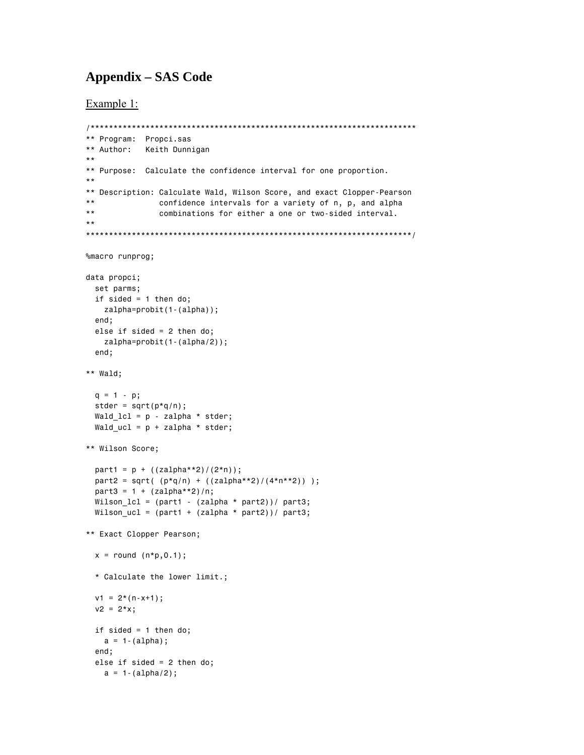## **Appendix – SAS Code**

Example 1:

```
** Program: Propci.sas
** Author: Keith Dunnigan
\star\,\star** Purpose: Calculate the confidence interval for one proportion.
\star\star** Description: Calculate Wald, Wilson Score, and exact Clopper-Pearson
\star\,\starconfidence intervals for a variety of n, p, and alpha
***combinations for either a one or two-sided interval.
***********
%macro runprog;
data propci;
 set parms;
 if sided = 1 then do;
   zalpha = probit(1 - (alpha));
 end;
 else if sided = 2 then do;
   zalpha = probit(1 - (alpha/2));end;
*** Wald;
 q = 1 - p;
 stder = sqrt(p * q/n);
 Wald lcl = p - zalpha * stder;Wald ucl = p + zalpha * stder;** Wilson Score;
 part1 = p + ((zalpha**2)/(2*n));part2 = sqrt( (p * q/n) + (zalpha * z)/(4 * n * z)) ;
 part3 = 1 + (zalpha**2)/n;Wilson_lcl = (\text{part1} - (\text{zalpha} * \text{part2}))/\text{part3};Wilson_ucl = {\text{(part1 + (zalpha * part2))}}/ part3;
** Exact Clopper Pearson;
 x = round (n*p, 0.1);
 * Calculate the lower limit.;
 v1 = 2*(n-x+1);v2 = 2*x;if sided = 1 then do;
   a = 1-(a1pha);end;
 else if sided = 2 then do;
   a = 1 - (alpha/2);
```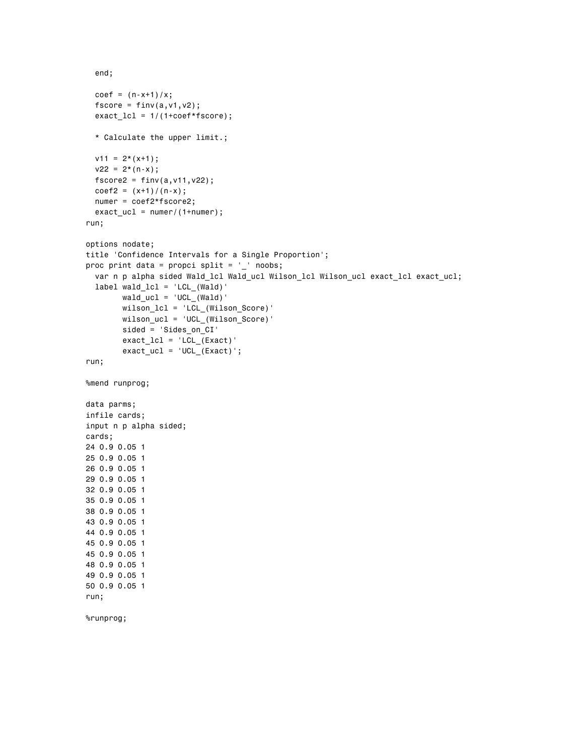```
 end; 
  coef = (n-x+1)/x;fscore = finv(a,v1,v2);exact\_lcl = 1/(1+coeff*fscore); * Calculate the upper limit.; 
  v11 = 2*(x+1);v22 = 2*(n-x);fscore2 = finv(a, v11, v22);coef2 = (x+1)/(n-x); numer = coef2*fscore2; 
  exact ucl = numer/(1+numer);
run; 
options nodate; 
title 'Confidence Intervals for a Single Proportion'; 
proc print data = propci split = ' noobs;
   var n p alpha sided Wald_lcl Wald_ucl Wilson_lcl Wilson_ucl exact_lcl exact_ucl; 
   label wald_lcl = 'LCL_(Wald)' 
        wald\_ucl = 'UCL_(Wald)' wilson_lcl = 'LCL_(Wilson_Score)' 
         wilson_ucl = 'UCL_(Wilson_Score)' 
         sided = 'Sides_on_CI' 
        exact\_lcl = 'LCL_(Exact)'exact\_ucl = 'UCL_(Exact)';run; 
%mend runprog; 
data parms; 
infile cards; 
input n p alpha sided; 
cards; 
24 0.9 0.05 1 
25 0.9 0.05 1 
26 0.9 0.05 1 
29 0.9 0.05 1 
32 0.9 0.05 1 
35 0.9 0.05 1 
38 0.9 0.05 1 
43 0.9 0.05 1 
44 0.9 0.05 1 
45 0.9 0.05 1 
45 0.9 0.05 1 
48 0.9 0.05 1 
49 0.9 0.05 1 
50 0.9 0.05 1 
run; 
%runprog;
```